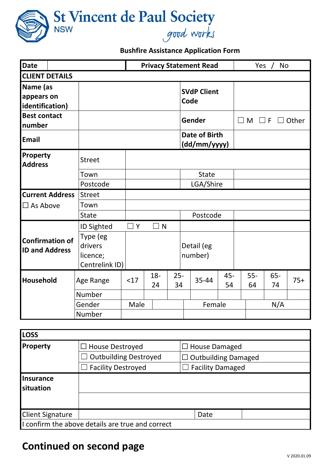

## **Bushfire Assistance Application Form**

| <b>Date</b>                                     |                                                   |          | <b>Privacy Statement Read</b> |              |                               |           | Yes / No    |              |       |
|-------------------------------------------------|---------------------------------------------------|----------|-------------------------------|--------------|-------------------------------|-----------|-------------|--------------|-------|
| <b>CLIENT DETAILS</b>                           |                                                   |          |                               |              |                               |           |             |              |       |
| Name (as<br>appears on<br>identification)       |                                                   |          |                               |              | <b>SVdP Client</b><br>Code    |           |             |              |       |
| <b>Best contact</b><br>number                   |                                                   |          |                               |              | Gender                        |           | $\square$ M | $\Box$ F     | Other |
| <b>Email</b>                                    |                                                   |          |                               |              | Date of Birth<br>(dd/mm/yyyy) |           |             |              |       |
| Property<br><b>Address</b>                      | <b>Street</b>                                     |          |                               |              |                               |           |             |              |       |
|                                                 | Town                                              |          |                               |              | <b>State</b>                  |           |             |              |       |
|                                                 | Postcode                                          |          |                               |              | LGA/Shire                     |           |             |              |       |
| <b>Current Address</b>                          | <b>Street</b>                                     |          |                               |              |                               |           |             |              |       |
| $\Box$ As Above                                 | Town                                              |          |                               |              |                               |           |             |              |       |
|                                                 | <b>State</b>                                      |          |                               |              | Postcode                      |           |             |              |       |
|                                                 | ID Sighted                                        | $\Box$ Y | $\Box$ N                      |              |                               |           |             |              |       |
| <b>Confirmation of</b><br><b>ID and Address</b> | Type (eg<br>drivers<br>licence;<br>Centrelink ID) |          |                               |              | Detail (eg<br>number)         |           |             |              |       |
| <b>Household</b>                                | Age Range                                         | <17      | $18 -$<br>24                  | $25 -$<br>34 | 35-44                         | 45-<br>54 | $55-$<br>64 | $65 -$<br>74 | $75+$ |
|                                                 | Number                                            |          |                               |              |                               |           |             |              |       |
|                                                 | Gender                                            | Male     |                               |              | Female                        |           | N/A         |              |       |
|                                                 | Number                                            |          |                               |              |                               |           |             |              |       |

| <b>LOSS</b>                   |                                                  |                            |  |  |  |  |
|-------------------------------|--------------------------------------------------|----------------------------|--|--|--|--|
| <b>Property</b>               | $\Box$ House Destroyed                           | $\Box$ House Damaged       |  |  |  |  |
|                               | <b>Outbuilding Destroyed</b>                     | $\Box$ Outbuilding Damaged |  |  |  |  |
|                               | $\Box$ Facility Destroyed                        | $\Box$ Facility Damaged    |  |  |  |  |
| Insurance<br><b>situation</b> |                                                  |                            |  |  |  |  |
|                               |                                                  |                            |  |  |  |  |
| <b>Client Signature</b>       |                                                  | Date                       |  |  |  |  |
|                               | I confirm the above details are true and correct |                            |  |  |  |  |

## **Continued on second page**